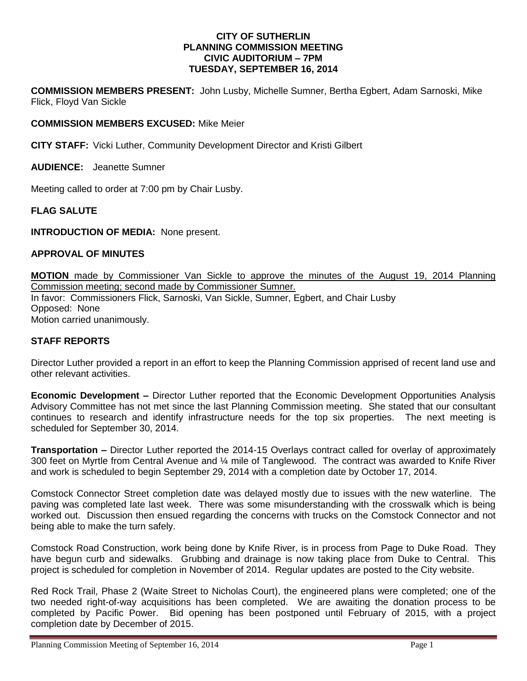#### **CITY OF SUTHERLIN PLANNING COMMISSION MEETING CIVIC AUDITORIUM – 7PM TUESDAY, SEPTEMBER 16, 2014**

**COMMISSION MEMBERS PRESENT:** John Lusby, Michelle Sumner, Bertha Egbert, Adam Sarnoski, Mike Flick, Floyd Van Sickle

# **COMMISSION MEMBERS EXCUSED:** Mike Meier

**CITY STAFF:** Vicki Luther, Community Development Director and Kristi Gilbert

**AUDIENCE:** Jeanette Sumner

Meeting called to order at 7:00 pm by Chair Lusby.

## **FLAG SALUTE**

**INTRODUCTION OF MEDIA:** None present.

## **APPROVAL OF MINUTES**

**MOTION** made by Commissioner Van Sickle to approve the minutes of the August 19, 2014 Planning Commission meeting; second made by Commissioner Sumner. In favor: Commissioners Flick, Sarnoski, Van Sickle, Sumner, Egbert, and Chair Lusby Opposed:None Motion carried unanimously.

#### **STAFF REPORTS**

Director Luther provided a report in an effort to keep the Planning Commission apprised of recent land use and other relevant activities.

**Economic Development –** Director Luther reported that the Economic Development Opportunities Analysis Advisory Committee has not met since the last Planning Commission meeting. She stated that our consultant continues to research and identify infrastructure needs for the top six properties. The next meeting is scheduled for September 30, 2014.

**Transportation –** Director Luther reported the 2014-15 Overlays contract called for overlay of approximately 300 feet on Myrtle from Central Avenue and ¼ mile of Tanglewood. The contract was awarded to Knife River and work is scheduled to begin September 29, 2014 with a completion date by October 17, 2014.

Comstock Connector Street completion date was delayed mostly due to issues with the new waterline. The paving was completed late last week. There was some misunderstanding with the crosswalk which is being worked out. Discussion then ensued regarding the concerns with trucks on the Comstock Connector and not being able to make the turn safely.

Comstock Road Construction, work being done by Knife River, is in process from Page to Duke Road. They have begun curb and sidewalks. Grubbing and drainage is now taking place from Duke to Central. This project is scheduled for completion in November of 2014. Regular updates are posted to the City website.

Red Rock Trail, Phase 2 (Waite Street to Nicholas Court), the engineered plans were completed; one of the two needed right-of-way acquisitions has been completed. We are awaiting the donation process to be completed by Pacific Power. Bid opening has been postponed until February of 2015, with a project completion date by December of 2015.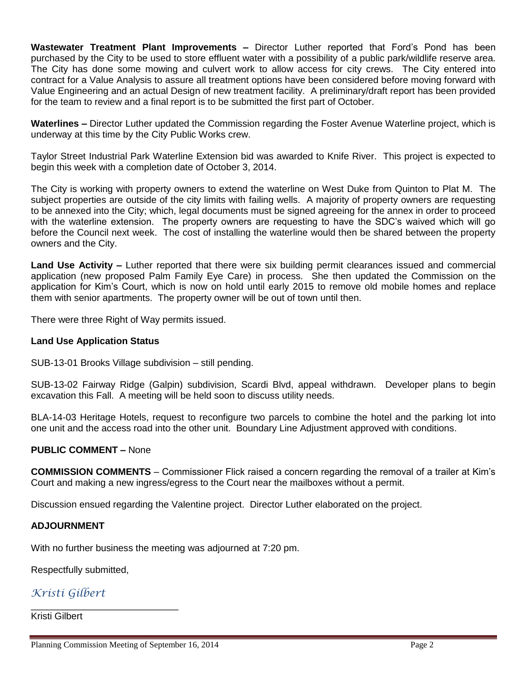**Wastewater Treatment Plant Improvements –** Director Luther reported that Ford's Pond has been purchased by the City to be used to store effluent water with a possibility of a public park/wildlife reserve area. The City has done some mowing and culvert work to allow access for city crews. The City entered into contract for a Value Analysis to assure all treatment options have been considered before moving forward with Value Engineering and an actual Design of new treatment facility. A preliminary/draft report has been provided for the team to review and a final report is to be submitted the first part of October.

**Waterlines –** Director Luther updated the Commission regarding the Foster Avenue Waterline project, which is underway at this time by the City Public Works crew.

Taylor Street Industrial Park Waterline Extension bid was awarded to Knife River. This project is expected to begin this week with a completion date of October 3, 2014.

The City is working with property owners to extend the waterline on West Duke from Quinton to Plat M. The subject properties are outside of the city limits with failing wells. A majority of property owners are requesting to be annexed into the City; which, legal documents must be signed agreeing for the annex in order to proceed with the waterline extension. The property owners are requesting to have the SDC's waived which will go before the Council next week. The cost of installing the waterline would then be shared between the property owners and the City.

**Land Use Activity –** Luther reported that there were six building permit clearances issued and commercial application (new proposed Palm Family Eye Care) in process. She then updated the Commission on the application for Kim's Court, which is now on hold until early 2015 to remove old mobile homes and replace them with senior apartments. The property owner will be out of town until then.

There were three Right of Way permits issued.

# **Land Use Application Status**

SUB-13-01 Brooks Village subdivision – still pending.

SUB-13-02 Fairway Ridge (Galpin) subdivision, Scardi Blvd, appeal withdrawn. Developer plans to begin excavation this Fall. A meeting will be held soon to discuss utility needs.

BLA-14-03 Heritage Hotels, request to reconfigure two parcels to combine the hotel and the parking lot into one unit and the access road into the other unit. Boundary Line Adjustment approved with conditions.

#### **PUBLIC COMMENT –** None

**COMMISSION COMMENTS** – Commissioner Flick raised a concern regarding the removal of a trailer at Kim's Court and making a new ingress/egress to the Court near the mailboxes without a permit.

Discussion ensued regarding the Valentine project. Director Luther elaborated on the project.

#### **ADJOURNMENT**

With no further business the meeting was adjourned at 7:20 pm.

Respectfully submitted,

# *Kristi Gilbert*

Kristi Gilbert

\_\_\_\_\_\_\_\_\_\_\_\_\_\_\_\_\_\_\_\_\_\_\_\_\_\_\_\_